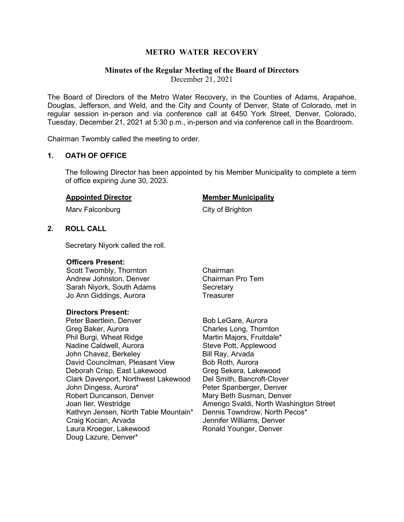# **METRO WATER RECOVERY**

# **Minutes of the Regular Meeting of the Board of Directors**

December 21, 2021

The Board of Directors of the Metro Water Recovery, in the Counties of Adams, Arapahoe, Douglas, Jefferson, and Weld, and the City and County of Denver, State of Colorado, met in regular session in-person and via conference call at 6450 York Street, Denver, Colorado, Tuesday, December 21, 2021 at 5:30 p.m., in-person and via conference call in the Boardroom.

Chairman Twombly called the meeting to order.

## **1. OATH OF OFFICE**

The following Director has been appointed by his Member Municipality to complete a term of office expiring June 30, 2023.

#### **Appointed Director Member Municipality**

Marv Falconburg **City of Brighton** 

# **2. ROLL CALL**

Secretary Niyork called the roll.

#### **Officers Present:**

Scott Twombly, Thornton **Chairman** Andrew Johnston, Denver Chairman Pro Tem Sarah Nivork, South Adams Secretary Jo Ann Giddings, Aurora **Treasurer** 

## **Directors Present:**

Peter Baertlein, Denver Bob LeGare, Aurora Greg Baker, Aurora Charles Long, Thornton Nadine Caldwell, Aurora Steve Pott, Applewood John Chavez, Berkeley Bill Ray, Arvada David Councilman, Pleasant View Bob Roth, Aurora Deborah Crisp, East Lakewood Greg Sekera, Lakewood Clark Davenport, Northwest Lakewood Del Smith, Bancroft-Clover John Dingess, Aurora\* Peter Spanberger, Denver Robert Duncanson, Denver Mary Beth Susman, Denver Kathryn Jensen, North Table Mountain\* Dennis Towndrow, North Pecos\*<br>Craig Kocian, Arvada **Mataba Batar Bennifer Williams, Denver** Laura Kroeger, Lakewood Ronald Younger, Denver Doug Lazure, Denver\*

Martin Majors, Fruitdale\* Joan Iler, Westridge **Amerigo Svaldi, North Washington Street** Jennifer Williams, Denver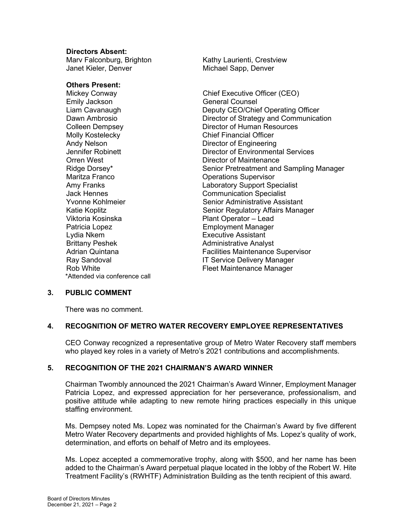## **Directors Absent:**

Janet Kieler, Denver Michael Sapp, Denver

**Others Present:**<br>Mickey Conway

Emily Jackson General Counsel Andy Nelson **Director of Engineering Orren West Director of Maintenance** Maritza Franco Operations Supervisor Viktoria Kosinska Plant Operator – Lead Patricia Lopez **Employment Manager** Lydia Nkem **Executive Assistant** Brittany Peshek **Administrative Analyst** Administrative Analyst \*Attended via conference call

Marv Falconburg, Brighton Kathy Laurienti, Crestview

Chief Executive Officer (CEO) Liam Cavanaugh Deputy CEO/Chief Operating Officer Dawn Ambrosio Director of Strategy and Communication Colleen Dempsey Director of Human Resources **Chief Financial Officer** Jennifer Robinett Director of Environmental Services Ridge Dorsey\* Senior Pretreatment and Sampling Manager Amy Franks<br>
Jack Hennes<br>
Laboratory Support Specialist<br>
Communication Specialist **Communication Specialist** Yvonne Kohlmeier Senior Administrative Assistant Katie Koplitz **Senior Regulatory Affairs Manager** Senior Regulatory Affairs Manager Adrian Quintana Facilities Maintenance Supervisor IT Service Delivery Manager Rob White **Fleet Maintenance Manager** 

# **3. PUBLIC COMMENT**

There was no comment.

# **4. RECOGNITION OF METRO WATER RECOVERY EMPLOYEE REPRESENTATIVES**

CEO Conway recognized a representative group of Metro Water Recovery staff members who played key roles in a variety of Metro's 2021 contributions and accomplishments.

# **5. RECOGNITION OF THE 2021 CHAIRMAN'S AWARD WINNER**

Chairman Twombly announced the 2021 Chairman's Award Winner, Employment Manager Patricia Lopez, and expressed appreciation for her perseverance, professionalism, and positive attitude while adapting to new remote hiring practices especially in this unique staffing environment.

Ms. Dempsey noted Ms. Lopez was nominated for the Chairman's Award by five different Metro Water Recovery departments and provided highlights of Ms. Lopez's quality of work, determination, and efforts on behalf of Metro and its employees.

Ms. Lopez accepted a commemorative trophy, along with \$500, and her name has been added to the Chairman's Award perpetual plaque located in the lobby of the Robert W. Hite Treatment Facility's (RWHTF) Administration Building as the tenth recipient of this award.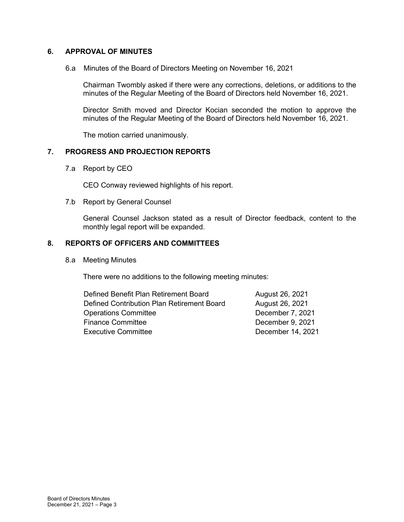# **6. APPROVAL OF MINUTES**

6.a Minutes of the Board of Directors Meeting on November 16, 2021

Chairman Twombly asked if there were any corrections, deletions, or additions to the minutes of the Regular Meeting of the Board of Directors held November 16, 2021.

Director Smith moved and Director Kocian seconded the motion to approve the minutes of the Regular Meeting of the Board of Directors held November 16, 2021.

The motion carried unanimously.

## **7. PROGRESS AND PROJECTION REPORTS**

7.a Report by CEO

CEO Conway reviewed highlights of his report.

7.b Report by General Counsel

General Counsel Jackson stated as a result of Director feedback, content to the monthly legal report will be expanded.

# **8. REPORTS OF OFFICERS AND COMMITTEES**

8.a Meeting Minutes

There were no additions to the following meeting minutes:

| Defined Benefit Plan Retirement Board      | August 26, 2021   |
|--------------------------------------------|-------------------|
| Defined Contribution Plan Retirement Board | August 26, 2021   |
| <b>Operations Committee</b>                | December 7, 2021  |
| <b>Finance Committee</b>                   | December 9, 2021  |
| <b>Executive Committee</b>                 | December 14, 2021 |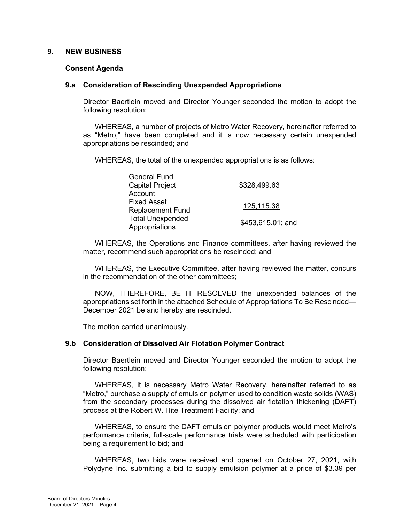## **9. NEW BUSINESS**

#### **Consent Agenda**

#### **9.a Consideration of Rescinding Unexpended Appropriations**

Director Baertlein moved and Director Younger seconded the motion to adopt the following resolution:

WHEREAS, a number of projects of Metro Water Recovery, hereinafter referred to as "Metro," have been completed and it is now necessary certain unexpended appropriations be rescinded; and

WHEREAS, the total of the unexpended appropriations is as follows:

| <b>General Fund</b>     |                   |
|-------------------------|-------------------|
| <b>Capital Project</b>  | \$328,499.63      |
| Account                 |                   |
| <b>Fixed Asset</b>      | 125,115.38        |
| <b>Replacement Fund</b> |                   |
| <b>Total Unexpended</b> | \$453,615.01; and |
| Appropriations          |                   |

WHEREAS, the Operations and Finance committees, after having reviewed the matter, recommend such appropriations be rescinded; and

WHEREAS, the Executive Committee, after having reviewed the matter, concurs in the recommendation of the other committees;

NOW, THEREFORE, BE IT RESOLVED the unexpended balances of the appropriations set forth in the attached Schedule of Appropriations To Be Rescinded— December 2021 be and hereby are rescinded.

The motion carried unanimously.

## **9.b Consideration of Dissolved Air Flotation Polymer Contract**

Director Baertlein moved and Director Younger seconded the motion to adopt the following resolution:

WHEREAS, it is necessary Metro Water Recovery, hereinafter referred to as "Metro," purchase a supply of emulsion polymer used to condition waste solids (WAS) from the secondary processes during the dissolved air flotation thickening (DAFT) process at the Robert W. Hite Treatment Facility; and

WHEREAS, to ensure the DAFT emulsion polymer products would meet Metro's performance criteria, full-scale performance trials were scheduled with participation being a requirement to bid; and

WHEREAS, two bids were received and opened on October 27, 2021, with Polydyne Inc. submitting a bid to supply emulsion polymer at a price of \$3.39 per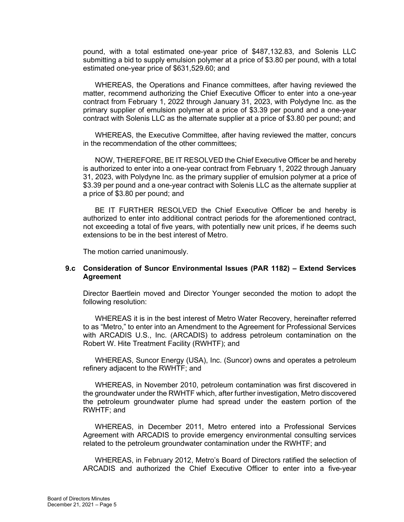pound, with a total estimated one-year price of \$487,132.83, and Solenis LLC submitting a bid to supply emulsion polymer at a price of \$3.80 per pound, with a total estimated one-year price of \$631,529.60; and

WHEREAS, the Operations and Finance committees, after having reviewed the matter, recommend authorizing the Chief Executive Officer to enter into a one-year contract from February 1, 2022 through January 31, 2023, with Polydyne Inc. as the primary supplier of emulsion polymer at a price of \$3.39 per pound and a one-year contract with Solenis LLC as the alternate supplier at a price of \$3.80 per pound; and

WHEREAS, the Executive Committee, after having reviewed the matter, concurs in the recommendation of the other committees;

NOW, THEREFORE, BE IT RESOLVED the Chief Executive Officer be and hereby is authorized to enter into a one-year contract from February 1, 2022 through January 31, 2023, with Polydyne Inc. as the primary supplier of emulsion polymer at a price of \$3.39 per pound and a one-year contract with Solenis LLC as the alternate supplier at a price of \$3.80 per pound; and

BE IT FURTHER RESOLVED the Chief Executive Officer be and hereby is authorized to enter into additional contract periods for the aforementioned contract, not exceeding a total of five years, with potentially new unit prices, if he deems such extensions to be in the best interest of Metro.

The motion carried unanimously.

# **9.c Consideration of Suncor Environmental Issues (PAR 1182) – Extend Services Agreement**

Director Baertlein moved and Director Younger seconded the motion to adopt the following resolution:

WHEREAS it is in the best interest of Metro Water Recovery, hereinafter referred to as "Metro," to enter into an Amendment to the Agreement for Professional Services with ARCADIS U.S., Inc. (ARCADIS) to address petroleum contamination on the Robert W. Hite Treatment Facility (RWHTF); and

WHEREAS, Suncor Energy (USA), Inc. (Suncor) owns and operates a petroleum refinery adjacent to the RWHTF; and

WHEREAS, in November 2010, petroleum contamination was first discovered in the groundwater under the RWHTF which, after further investigation, Metro discovered the petroleum groundwater plume had spread under the eastern portion of the RWHTF; and

WHEREAS, in December 2011, Metro entered into a Professional Services Agreement with ARCADIS to provide emergency environmental consulting services related to the petroleum groundwater contamination under the RWHTF; and

WHEREAS, in February 2012, Metro's Board of Directors ratified the selection of ARCADIS and authorized the Chief Executive Officer to enter into a five-year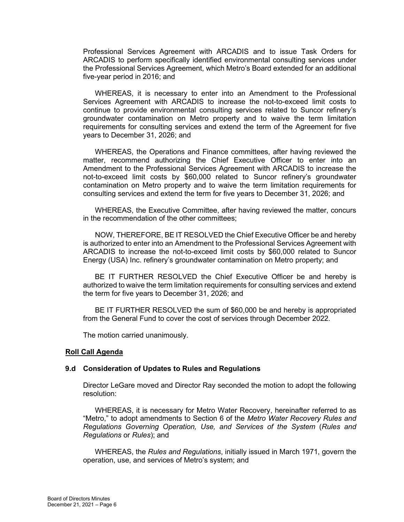Professional Services Agreement with ARCADIS and to issue Task Orders for ARCADIS to perform specifically identified environmental consulting services under the Professional Services Agreement, which Metro's Board extended for an additional five-year period in 2016; and

WHEREAS, it is necessary to enter into an Amendment to the Professional Services Agreement with ARCADIS to increase the not-to-exceed limit costs to continue to provide environmental consulting services related to Suncor refinery's groundwater contamination on Metro property and to waive the term limitation requirements for consulting services and extend the term of the Agreement for five years to December 31, 2026; and

WHEREAS, the Operations and Finance committees, after having reviewed the matter, recommend authorizing the Chief Executive Officer to enter into an Amendment to the Professional Services Agreement with ARCADIS to increase the not-to-exceed limit costs by \$60,000 related to Suncor refinery's groundwater contamination on Metro property and to waive the term limitation requirements for consulting services and extend the term for five years to December 31, 2026; and

WHEREAS, the Executive Committee, after having reviewed the matter, concurs in the recommendation of the other committees;

NOW, THEREFORE, BE IT RESOLVED the Chief Executive Officer be and hereby is authorized to enter into an Amendment to the Professional Services Agreement with ARCADIS to increase the not-to-exceed limit costs by \$60,000 related to Suncor Energy (USA) Inc. refinery's groundwater contamination on Metro property; and

BE IT FURTHER RESOLVED the Chief Executive Officer be and hereby is authorized to waive the term limitation requirements for consulting services and extend the term for five years to December 31, 2026; and

BE IT FURTHER RESOLVED the sum of \$60,000 be and hereby is appropriated from the General Fund to cover the cost of services through December 2022.

The motion carried unanimously.

#### **Roll Call Agenda**

#### **9.d Consideration of Updates to Rules and Regulations**

Director LeGare moved and Director Ray seconded the motion to adopt the following resolution:

WHEREAS, it is necessary for Metro Water Recovery, hereinafter referred to as "Metro," to adopt amendments to Section 6 of the *Metro Water Recovery Rules and Regulations Governing Operation, Use, and Services of the System* (*Rules and Regulations* or *Rules*); and

WHEREAS, the *Rules and Regulations*, initially issued in March 1971, govern the operation, use, and services of Metro's system; and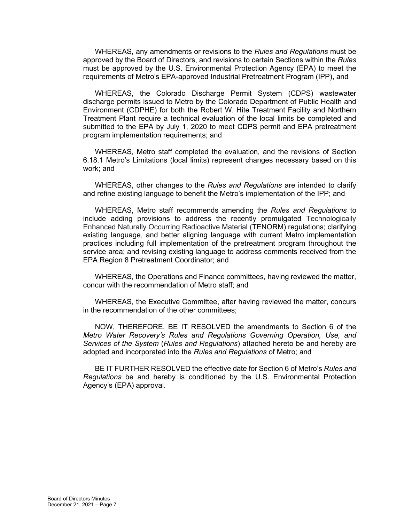WHEREAS, any amendments or revisions to the *Rules and Regulations* must be approved by the Board of Directors, and revisions to certain Sections within the *Rules* must be approved by the U.S. Environmental Protection Agency (EPA) to meet the requirements of Metro's EPA-approved Industrial Pretreatment Program (IPP), and

WHEREAS, the Colorado Discharge Permit System (CDPS) wastewater discharge permits issued to Metro by the Colorado Department of Public Health and Environment (CDPHE) for both the Robert W. Hite Treatment Facility and Northern Treatment Plant require a technical evaluation of the local limits be completed and submitted to the EPA by July 1, 2020 to meet CDPS permit and EPA pretreatment program implementation requirements; and

WHEREAS, Metro staff completed the evaluation, and the revisions of Section 6.18.1 Metro's Limitations (local limits) represent changes necessary based on this work; and

WHEREAS, other changes to the *Rules and Regulations* are intended to clarify and refine existing language to benefit the Metro's implementation of the IPP; and

WHEREAS, Metro staff recommends amending the *Rules and Regulations* to include adding provisions to address the recently promulgated Technologically Enhanced Naturally Occurring Radioactive Material (TENORM) regulations; clarifying existing language, and better aligning language with current Metro implementation practices including full implementation of the pretreatment program throughout the service area; and revising existing language to address comments received from the EPA Region 8 Pretreatment Coordinator; and

WHEREAS, the Operations and Finance committees, having reviewed the matter, concur with the recommendation of Metro staff; and

WHEREAS, the Executive Committee, after having reviewed the matter, concurs in the recommendation of the other committees;

NOW, THEREFORE, BE IT RESOLVED the amendments to Section 6 of the *Metro Water Recovery's Rules and Regulations Governing Operation, Use, and Services of the System* (*Rules and Regulations*) attached hereto be and hereby are adopted and incorporated into the *Rules and Regulations* of Metro; and

BE IT FURTHER RESOLVED the effective date for Section 6 of Metro's *Rules and Regulations* be and hereby is conditioned by the U.S. Environmental Protection Agency's (EPA) approval.